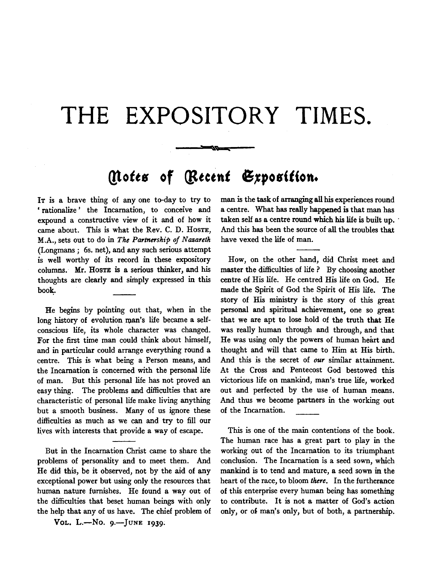## **THE EXPOSITORY TIMES.**

## *(lotes of (Recent Exposition.*

"'"'

IT is a brave thing of any one to-day to try to 'rationalize' the Incarnation, to conceive and expound a constructive view of it and of how it came about. This is what the Rev. C. D. HosTE, M.A., sets out to do in *The Partnership of Nazareth*  (Longmans; 6s. net), and any such serious attempt is well worthy of its record in these expository columns. Mr. Hoste is a serious thinker, and his thoughts are clearly and simply expressed in this book.

He begins by pointing out that, when in the long history of evolution man's life became a selfconscious life, its whole character was changed. For the first time man could think about himself, and in particular could arrange everything round a centre. This is what being a Person means, and the Incarnation is concerned with the personal life of man. But this personal life has not proved an easy thing. The problems and difficulties that are characteristic of personal life make living anything but a smooth business. Many of us ignore these difficulties as much as we can and try to fill our lives with interests that provide a way of escape.

But in the Incarnation Christ came to share the problems of personality and to meet them. And He did this, be it observed, not by the aid of any exceptional power but using only the resources that human nature furnishes. He found a way out of the difficulties that beset human beings with only the help that any of us have. The chief problem of

Vol. L.-No. 9.-JUNE 1939.

man is the task of arranging all his experiences round a centre. What has really happened is that man has taken self as a centre round which his life is built up. And this has been the source of all the troubles that. have vexed the life of man.

How, on the other hand, did Christ meet and master the difficulties of life ? By choosing another centre of His life. He centred His life on God. He made the Spirit of God the Spirit of His life. The story of His ministry is the story of this great personal and spiritual achievement, one so great that we are apt to lose hold of the truth that He was really human through and through, and that He was using only the powers of human heart and thought and will that came to Him at His birth. And this is the secret of *our* similar attainment. At the Cross and Pentecost God bestowed this victorious life on mankind, man's true life, worked out and perfected by the use of human means. And thus we become partners in the working out of the Incarnation.

This is one of the main contentions of the book. The human race has a great part to play in the working out of the Incarnation to its triumphant conclusion. The Incarnation is a seed sown, which mankind is to tend and mature, a seed sown in the heart of the race, to bloom *there.* In the furtherance of this enterprise every human being has something to contribute. It is not a matter of God's action only, or of man's only, but of both, a partnership.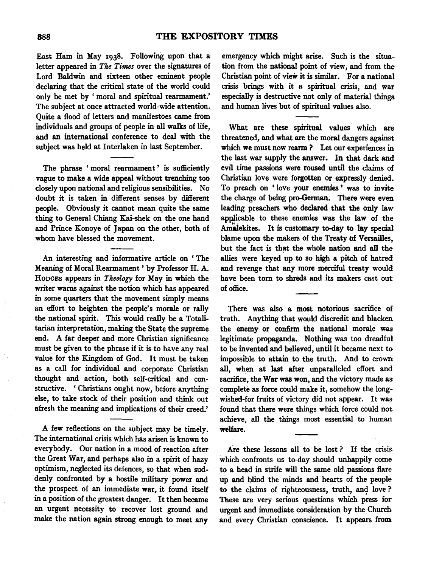East Ham in May 1938. Following upon that a letter appeared in *The Times* over the signatures of Lord Baldwin and sixteen other eminent people declaring that the critical state of the world could only be met by ' moral and spiritual rearmament.' The subject at once attracted world-wide attention. Quite a flood of letters and manifestoes came from individuals and groups of people in all walks of life, and an international conference to deal with the subject was held at Interlaken in last September.

The phrase ' moral rearmament ' is sufficiently vague to make a wide appeal without trenching too closely upon national and religious sensibilities. No doubt it is taken in different senses by different people. Obviously it cannot mean quite the same thing to General Chiang Kai-shek on the one hand and Prince Konoye of Japan on the other, both of whom have blessed the movement.

An interesting and informative article on ' The Meaning of Moral Rearmament ' by Professor H. A. HoDGES appears in *Theology* for May in which the writer warns against the notion which has appeared in some quarters that the movement simply means an effort to heighten the people's morale or rally the national spirit. This would really be a Totalitarian interpretation, making the State the supreme end. A far deeper and more Christian significance must be given to the phrase if it is to have any real value for the Kingdom of God. It must be taken as a call for individual and corporate Christian thought and action, both self-critical and constructive. ' Christians ought now, before anything else, to take stock of their position and think out afresh the meaning and implications of their creed.'

A few reflections on the subject may be timely. The international crisis which has arisen is known to everybody. Our nation in a mood of reaction after the Great War, and perhaps also in a spirit of hazy optimism, neglected its defences, so that when suddenly confronted by a hostile military power and the prospect of an immediate war, it found itself in a position of the greatest danger. It then became an urgent necessity to recover lost ground and make the nation again strong enough to meet any

emergency which might arise. Such is the situation from the national point of view, and from the Christian point of view it is similar. For a national crisis brings with it a spiritual crisis, and war especially is destructive not only of material things and human lives but of spiritual values also.

What are these spiritual values which are threatened, and what are the moral dangers against which we must now rearm ? Let our experiences in the last war supply the answer. In that dark and evil time passions were roused until the claims of Christian love were forgotten or expressly denied. To preach on ' love your enemies ' was to invite the charge of being pro-German. There were even leading preachers who declared that the only law applicable to these enemies was the law of the Amalekites. It is customary to-day to lay special blame upon the makers of the Treaty of Versailles, but the fact is that the whole nation and all the allies were keyed up to so high a pitch of hatred and revenge that any more merciful treaty would have been tom to shreds and its makers cast out of office.

There was also a most notorious sacrifice of truth. Anything that would discredit and blacken the enemy or confirm the national morale was legitimate propaganda. Nothing was too dreadful to be invented and believed, until it became next to impossible to attain to the truth. And to crown all, when at last after unparalleled effort and sacrifice, the War was won, and the victory made as complete as force could make it, somehow the longwished-for fruits of victory did not appear. It was found that there were things which force could not achieve, all the things most essential to human welfare.

Are these lessons all to be lost ? If the crisis which confronts us to-day should unhappily come to a head in strife will the same old passions flare up and blind the minds and hearts of the people to the claims of righteousness, truth, and love ? These are very serious questions which press for urgent and immediate consideration by the Church and every Christian conscience. It appears from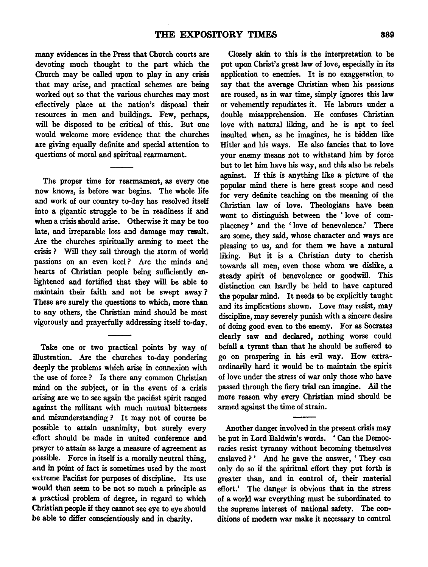many evidences in the Press that Church courts are devoting much thought to the part which the Church may be called upon to play in any crisis that may arise, and practical schemes are being worked out so that the various churches may most effectively place at the nation's disposal their resources in men and buildings. Few, perhaps, will be disposed to be critical of this. But one would welcome more evidence that the churches are giving equally definite and special attention to questions of moral and spiritual rearmament.

The proper time for rearmament, as every one now knows, is before war begins. The whole life and work of our country to-day has resolved itself into a gigantic struggle to be in readiness if and when a crisis should arise. Otherwise it may be too late, and irreparable loss and damage may result. Are the churches spiritually arming to meet the crisis ? Will they sail through the storm of world passions on an even keel ? Are the minds and hearts of Christian people being sufficiently enlightened and fortified that they will be able to maintain their faith and not be swept away ? These are surely the questions to which, more than to any others, the Christian mind should be most vigorously and prayerfully addressing itself to-day.

Take one or two practical points by way of illustration. Are the churches to-day pondering deeply the problems which arise in connexion with the use of force ? Is there any common Christian mind on the subject, or in the event of a crisis arising are we to see again the pacifist spirit ranged against the militant with much mutual bitterness and misunderstanding? It may not of course be possible to attain unanimity, but surely every effort should be made in united conference and prayer to attain as large a measure of agreement as possible. Force in itself is a morally neutral thing, and in point of fact is sometimes used by the most extreme Pacifist for purposes of discipline. Its use would then seem to be not so much a principle as a practical problem of degree, in regard to which Christian people if they cannot see eye to eye should be able to differ conscientiously and in charity.

Closely akin to this is the interpretation to be put upon Christ's great law of love, especially in its application to enemies. It is no exaggeration to say that the average Christian when his passions are roused, as in war time, simply ignores this law or vehemently repudiates it. He labours under a double misapprehension. He confuses Christian love with natural liking, and he is apt to feel insulted when, as he imagines, he is bidden like Hitler and his ways. He also fancies that to love your enemy means not to withstand him by force but to let him have his way, and this also he rebels against. If this is anything like a picture of the popular mind there is here great scope and need for very definite teaching on the meaning of the Christian law of love. Theologians have been wont to distinguish between the ' love of complacency ' and the ' love of benevolence.' There are some, they said, whose character and ways are pleasing to us, and for them we have a natural liking. But it is a Christian duty to cherish towards all men, even those whom we dislike, a steady spirit of benevolence or goodwill. This distinction can hardly be held to have captured the popular mind. It needs to be explicitly taught and its implications shown. Love may resist, may discipline, may severely punish with a sincere desire of doing good even to the enemy. For as Socrates clearly saw and declared, nothing worse could befall a tyrant than that he should be suffered to go on prospering in his evil way. How extraordinarily hard it would be to maintain the spirit of love under the stress of war only those who have passed through the fiery trial can imagine. All the more reason why every Christian mind should be armed against the time of strain.

Another danger involved in the present crisis may be put in Lord Baldwin's words. 'Can the Democracies resist tyranny without becoming themselves enslaved?' And he gave the answer, 'They can only do so if the spiritual effort they put forth is greater than, and in control of, their material effort.' The danger is obvious that in the stress of a world war everything must be subordinated to the supreme interest of national safety. The conditions of modem war make it necessary to control